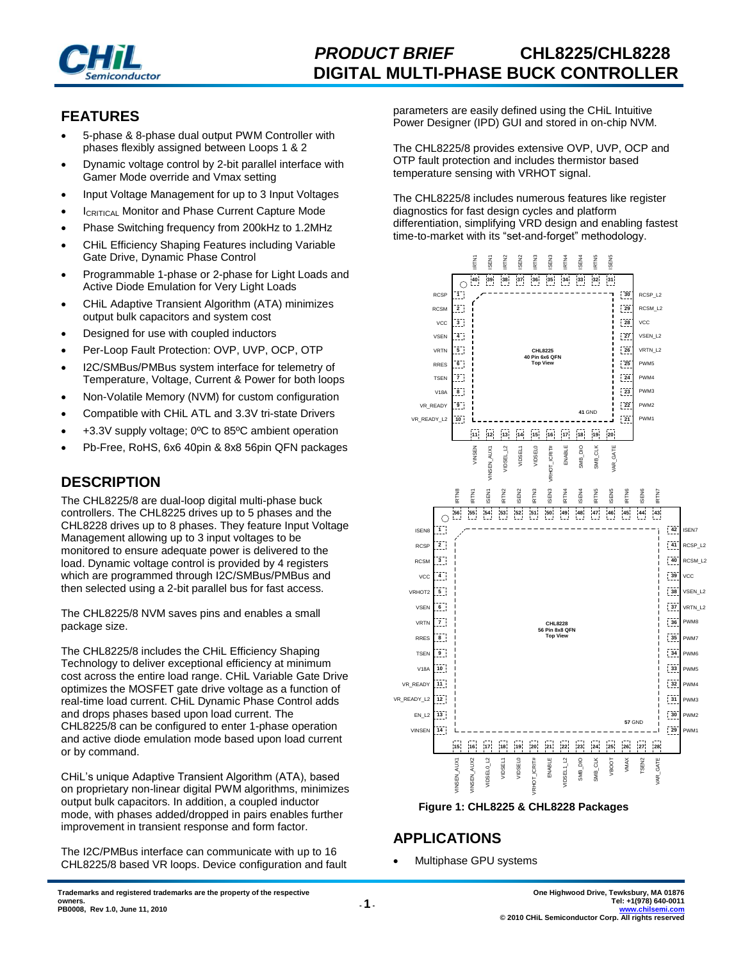

## **FEATURES**

- 5-phase & 8-phase dual output PWM Controller with phases flexibly assigned between Loops 1 & 2
- Dynamic voltage control by 2-bit parallel interface with Gamer Mode override and Vmax setting
- Input Voltage Management for up to 3 Input Voltages
- **ICRITICAL Monitor and Phase Current Capture Mode**
- Phase Switching frequency from 200kHz to 1.2MHz
- CHiL Efficiency Shaping Features including Variable Gate Drive, Dynamic Phase Control
- Programmable 1-phase or 2-phase for Light Loads and Active Diode Emulation for Very Light Loads
- CHiL Adaptive Transient Algorithm (ATA) minimizes output bulk capacitors and system cost
- Designed for use with coupled inductors
- Per-Loop Fault Protection: OVP, UVP, OCP, OTP
- I2C/SMBus/PMBus system interface for telemetry of Temperature, Voltage, Current & Power for both loops
- Non-Volatile Memory (NVM) for custom configuration
- Compatible with CHiL ATL and 3.3V tri-state Drivers
- +3.3V supply voltage; 0ºC to 85ºC ambient operation
- Pb-Free, RoHS, 6x6 40pin & 8x8 56pin QFN packages

## **DESCRIPTION**

The CHL8225/8 are dual-loop digital multi-phase buck controllers. The CHL8225 drives up to 5 phases and the CHL8228 drives up to 8 phases. They feature Input Voltage Management allowing up to 3 input voltages to be monitored to ensure adequate power is delivered to the load. Dynamic voltage control is provided by 4 registers which are programmed through I2C/SMBus/PMBus and then selected using a 2-bit parallel bus for fast access.

The CHL8225/8 NVM saves pins and enables a small package size.

The CHL8225/8 includes the CHiL Efficiency Shaping Technology to deliver exceptional efficiency at minimum cost across the entire load range. CHiL Variable Gate Drive optimizes the MOSFET gate drive voltage as a function of real-time load current. CHiL Dynamic Phase Control adds and drops phases based upon load current. The CHL8225/8 can be configured to enter 1-phase operation and active diode emulation mode based upon load current or by command.

CHiL's unique Adaptive Transient Algorithm (ATA), based on proprietary non-linear digital PWM algorithms, minimizes output bulk capacitors. In addition, a coupled inductor mode, with phases added/dropped in pairs enables further improvement in transient response and form factor.

The I2C/PMBus interface can communicate with up to 16 CHL8225/8 based VR loops. Device configuration and fault parameters are easily defined using the CHiL Intuitive Power Designer (IPD) GUI and stored in on-chip NVM.

The CHL8225/8 provides extensive OVP, UVP, OCP and OTP fault protection and includes thermistor based temperature sensing with VRHOT signal.

The CHL8225/8 includes numerous features like register diagnostics for fast design cycles and platform differentiation, simplifying VRD design and enabling fastest time-to-market with its "set-and-forget" methodology.





## **APPLICATIONS**

Multiphase GPU systems